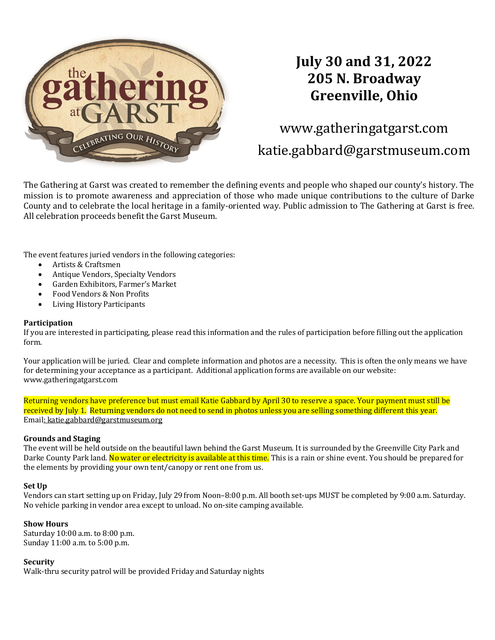

# **July 30 and 31, 2022 205 N. Broadway Greenville, Ohio**

www.gatheringatgarst.com katie.gabbard@garstmuseum.com

The Gathering at Garst was created to remember the defining events and people who shaped our county's history. The mission is to promote awareness and appreciation of those who made unique contributions to the culture of Darke County and to celebrate the local heritage in a family-oriented way. Public admission to The Gathering at Garst is free. All celebration proceeds benefit the Garst Museum.

The event features juried vendors in the following categories:

- Artists & Craftsmen
- Antique Vendors, Specialty Vendors
- Garden Exhibitors, Farmer's Market
- Food Vendors & Non Profits
- Living History Participants

### **Participation**

If you are interested in participating, please read this information and the rules of participation before filling out the application form. 

Your application will be juried. Clear and complete information and photos are a necessity. This is often the only means we have for determining your acceptance as a participant. Additional application forms are available on our website: www.gatheringatgarst.com

Returning vendors have preference but must email Katie Gabbard by April 30 to reserve a space. Your payment must still be received by July 1. Returning vendors do not need to send in photos unless you are selling something different this year. Email: katie.gabbard@garstmuseum.org

### **Grounds and Staging**

The event will be held outside on the beautiful lawn behind the Garst Museum. It is surrounded by the Greenville City Park and Darke County Park land. No water or electricity is available at this time. This is a rain or shine event. You should be prepared for the elements by providing your own tent/canopy or rent one from us.

### **Set Up**

Vendors can start setting up on Friday, July 29 from Noon–8:00 p.m. All booth set-ups MUST be completed by 9:00 a.m. Saturday. No vehicle parking in vendor area except to unload. No on-site camping available.

### **Show Hours**

Saturday 10:00 a.m. to 8:00 p.m. Sunday 11:00 a.m. to 5:00 p.m.

### **Security**

Walk-thru security patrol will be provided Friday and Saturday nights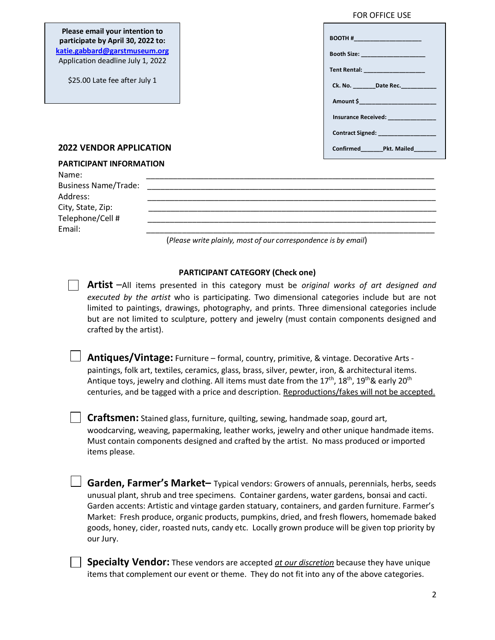| Please email your intention to<br>participate by April 30, 2022 to:<br>katie.gabbard@garstmuseum.org<br>Application deadline July 1, 2022 | <b>BOOTH #______________________</b><br>Booth Size: ____________________<br><b>Tent Rental: Contract Property Assembly</b> |
|-------------------------------------------------------------------------------------------------------------------------------------------|----------------------------------------------------------------------------------------------------------------------------|
| \$25.00 Late fee after July 1                                                                                                             | Ck. No. ________Date Rec. ____________                                                                                     |
|                                                                                                                                           | Amount \$_________________________                                                                                         |
|                                                                                                                                           | Insurance Received: ______________                                                                                         |
|                                                                                                                                           | Contract Signed: The Contract Signed:                                                                                      |
| <b>2022 VENDOR APPLICATION</b>                                                                                                            | Confirmed Pkt. Mailed                                                                                                      |
| <b>PARTICIPANT INFORMATION</b>                                                                                                            |                                                                                                                            |
| Name:                                                                                                                                     |                                                                                                                            |
|                                                                                                                                           |                                                                                                                            |
| Address:                                                                                                                                  |                                                                                                                            |
| City, State, Zip:                                                                                                                         |                                                                                                                            |

FOR OFFICE USE

## Email: \_\_\_\_\_\_\_\_\_\_\_\_\_\_\_\_\_\_\_\_\_\_\_\_\_\_\_\_\_\_\_\_\_\_\_\_\_\_\_\_\_\_\_\_\_\_\_\_\_\_\_\_\_\_\_\_\_\_\_\_\_\_\_\_\_ (*Please write plainly, most of our correspondence is by email*)

#### **PARTICIPANT CATEGORY (Check one)**

Telephone/Cell # \_\_\_\_\_\_\_\_\_\_\_\_\_\_\_\_\_\_\_\_\_\_\_\_\_\_\_\_\_\_\_\_\_\_\_\_\_\_\_\_\_\_\_\_\_\_\_\_\_\_\_\_\_\_\_\_\_\_\_\_\_\_\_\_\_

**Artist** –All items presented in this category must be *original works of art designed and executed by the artist* who is participating. Two dimensional categories include but are not limited to paintings, drawings, photography, and prints. Three dimensional categories include but are not limited to sculpture, pottery and jewelry (must contain components designed and crafted by the artist).

**Antiques/Vintage:** Furniture – formal, country, primitive, & vintage. Decorative Arts paintings, folk art, textiles, ceramics, glass, brass, silver, pewter, iron, & architectural items. Antique toys, jewelry and clothing. All items must date from the  $17^{th}$ ,  $18^{th}$ ,  $19^{th}$ & early  $20^{th}$ centuries, and be tagged with a price and description. Reproductions/fakes will not be accepted.

**Craftsmen:** Stained glass, furniture, quilting, sewing, handmade soap, gourd art, woodcarving, weaving, papermaking, leather works, jewelry and other unique handmade items. Must contain components designed and crafted by the artist. No mass produced or imported items please.

**Garden, Farmer's Market–** Typical vendors: Growers of annuals, perennials, herbs, seeds unusual plant, shrub and tree specimens. Container gardens, water gardens, bonsai and cacti. Garden accents: Artistic and vintage garden statuary, containers, and garden furniture. Farmer's Market: Fresh produce, organic products, pumpkins, dried, and fresh flowers, homemade baked goods, honey, cider, roasted nuts, candy etc. Locally grown produce will be given top priority by our Jury.

**Specialty Vendor:** These vendors are accepted *at our discretion* because they have unique items that complement our event or theme. They do not fit into any of the above categories.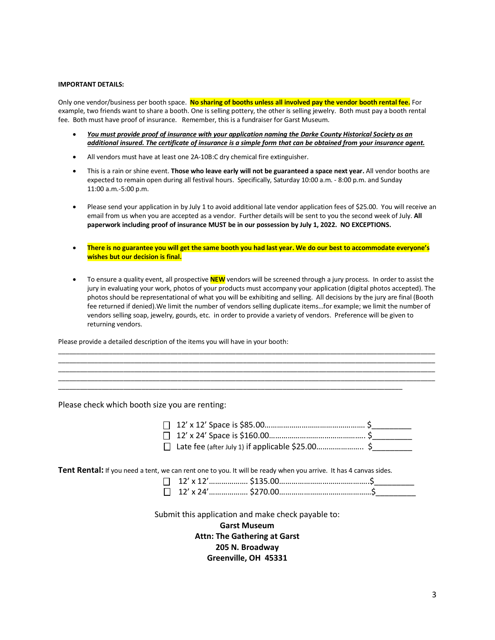#### **IMPORTANT DETAILS:**

Only one vendor/business per booth space. **No sharing of booths unless all involved pay the vendor booth rental fee.** For example, two friends want to share a booth. One is selling pottery, the other is selling jewelry. Both must pay a booth rental fee. Both must have proof of insurance. Remember, this is a fundraiser for Garst Museum.

- *You must provide proof of insurance with your application naming the Darke County Historical Society as an additional insured. The certificate of insurance is a simple form that can be obtained from your insurance agent.*
- All vendors must have at least one 2A-10B:C dry chemical fire extinguisher.
- This is a rain or shine event. **Those who leave early will not be guaranteed a space next year.** All vendor booths are expected to remain open during all festival hours. Specifically, Saturday 10:00 a.m. - 8:00 p.m. and Sunday 11:00 a.m.-5:00 p.m.
- Please send your application in by July 1 to avoid additional late vendor application fees of \$25.00. You will receive an email from us when you are accepted as a vendor. Further details will be sent to you the second week of July. **All paperwork including proof of insurance MUST be in our possession by July 1, 2022. NO EXCEPTIONS.**
- **There is no guarantee you will get the same booth you had last year. We do our best to accommodate everyone's wishes but our decision is final.**
- To ensure a quality event, all prospective **NEW** vendors will be screened through a jury process. In order to assist the jury in evaluating your work, photos of your products must accompany your application (digital photos accepted). The photos should be representational of what you will be exhibiting and selling. All decisions by the jury are final (Booth fee returned if denied).We limit the number of vendors selling duplicate items…for example; we limit the number of vendors selling soap, jewelry, gourds, etc. in order to provide a variety of vendors. Preference will be given to returning vendors.

\_\_\_\_\_\_\_\_\_\_\_\_\_\_\_\_\_\_\_\_\_\_\_\_\_\_\_\_\_\_\_\_\_\_\_\_\_\_\_\_\_\_\_\_\_\_\_\_\_\_\_\_\_\_\_\_\_\_\_\_\_\_\_\_\_\_\_\_\_\_\_\_\_\_\_\_\_\_\_\_\_\_\_\_\_\_\_\_\_\_\_\_\_\_\_\_\_\_\_\_\_\_\_\_ \_\_\_\_\_\_\_\_\_\_\_\_\_\_\_\_\_\_\_\_\_\_\_\_\_\_\_\_\_\_\_\_\_\_\_\_\_\_\_\_\_\_\_\_\_\_\_\_\_\_\_\_\_\_\_\_\_\_\_\_\_\_\_\_\_\_\_\_\_\_\_\_\_\_\_\_\_\_\_\_\_\_\_\_\_\_\_\_\_\_\_\_\_\_\_\_\_\_\_\_\_\_\_\_ \_\_\_\_\_\_\_\_\_\_\_\_\_\_\_\_\_\_\_\_\_\_\_\_\_\_\_\_\_\_\_\_\_\_\_\_\_\_\_\_\_\_\_\_\_\_\_\_\_\_\_\_\_\_\_\_\_\_\_\_\_\_\_\_\_\_\_\_\_\_\_\_\_\_\_\_\_\_\_\_\_\_\_\_\_\_\_\_\_\_\_\_\_\_\_\_\_\_\_\_\_\_\_\_ \_\_\_\_\_\_\_\_\_\_\_\_\_\_\_\_\_\_\_\_\_\_\_\_\_\_\_\_\_\_\_\_\_\_\_\_\_\_\_\_\_\_\_\_\_\_\_\_\_\_\_\_\_\_\_\_\_\_\_\_\_\_\_\_\_\_\_\_\_\_\_\_\_\_\_\_\_\_\_\_\_\_\_\_\_\_\_\_\_\_\_\_\_\_\_\_\_\_\_\_\_\_\_\_

 $\overline{\phantom{a}}$  , and the contribution of the contribution of the contribution of the contribution of the contribution of the contribution of the contribution of the contribution of the contribution of the contribution of the

Please provide a detailed description of the items you will have in your booth:

Please check which booth size you are renting:

| Tent Rental: If you need a tent, we can rent one to you. It will be ready when you arrive. It has 4 canvas sides. |  |
|-------------------------------------------------------------------------------------------------------------------|--|
|                                                                                                                   |  |
|                                                                                                                   |  |
| Submit this application and make check payable to:                                                                |  |
| <b>Garst Museum</b>                                                                                               |  |
|                                                                                                                   |  |
| <b>Attn: The Gathering at Garst</b>                                                                               |  |
| 205 N. Broadway                                                                                                   |  |
| Greenville, OH 45331                                                                                              |  |